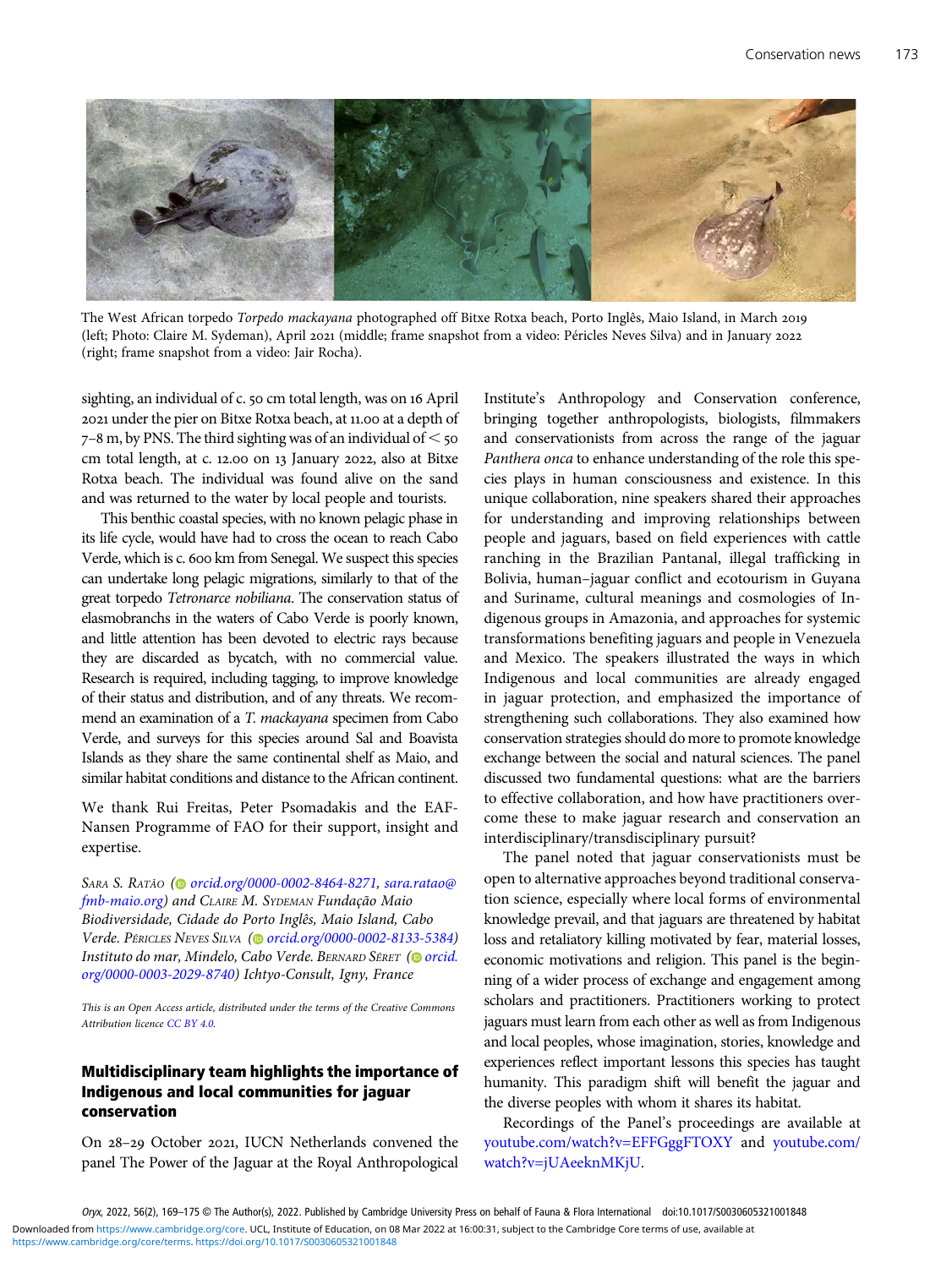

The West African torpedo Torpedo mackayana photographed off Bitxe Rotxa beach, Porto Inglês, Maio Island, in March 2019 (left; Photo: Claire M. Sydeman), April 2021 (middle; frame snapshot from a video: Péricles Neves Silva) and in January 2022 (right; frame snapshot from a video: Jair Rocha).

sighting, an individual of c. 50 cm total length, was on 16 April 2021 under the pier on Bitxe Rotxa beach, at 11.00 at a depth of  $7-8$  m, by PNS. The third sighting was of an individual of  $\leq$  50 cm total length, at c. 12.00 on 13 January 2022, also at Bitxe Rotxa beach. The individual was found alive on the sand and was returned to the water by local people and tourists.

This benthic coastal species, with no known pelagic phase in its life cycle, would have had to cross the ocean to reach Cabo Verde, which is c. 600 km from Senegal. We suspect this species can undertake long pelagic migrations, similarly to that of the great torpedo Tetronarce nobiliana. The conservation status of elasmobranchs in the waters of Cabo Verde is poorly known, and little attention has been devoted to electric rays because they are discarded as bycatch, with no commercial value. Research is required, including tagging, to improve knowledge of their status and distribution, and of any threats. We recommend an examination of a T. mackayana specimen from Cabo Verde, and surveys for this species around Sal and Boavista Islands as they share the same continental shelf as Maio, and similar habitat conditions and distance to the African continent.

We thank Rui Freitas, Peter Psomadakis and the EAF-Nansen Programme of FAO for their support, insight and expertise.

SARA S. RATÃO (@ [orcid.org/0000-0002-8464-8271,](https://orcid.org/0000-0002-8464-8271) [sara.ratao@](mailto:sara.ratao@fmb-maio.org) [fmb-maio.org\)](mailto:sara.ratao@fmb-maio.org) and CLAIRE M. SYDEMAN Fundação Maio Biodiversidade, Cidade do Porto Inglês, Maio Island, Cabo Verde. PÉRICLES NEVES SILVA [\(](https://orcid.org)@ [orcid.org/0000-0002-8133-5384\)](https://orcid.org/0000-0002-8133-5384) Instituto do mar, Mindelo, Cabo Verde. BERNARD SÉRET [\(](https://orcid.org)O [orcid.](https://orcid.org/0000-0003-2029-8740) [org/0000-0003-2029-8740\)](https://orcid.org/0000-0003-2029-8740) Ichtyo-Consult, Igny, France

This is an Open Access article, distributed under the terms of the Creative Commons Attribution licence [CC BY 4.0.](http://creativecommons.org/licenses/by/4.0/)

## Multidisciplinary team highlights the importance of Indigenous and local communities for jaguar conservation

On 28-29 October 2021, IUCN Netherlands convened the panel The Power of the Jaguar at the Royal Anthropological Institute's Anthropology and Conservation conference, bringing together anthropologists, biologists, filmmakers and conservationists from across the range of the jaguar Panthera onca to enhance understanding of the role this species plays in human consciousness and existence. In this unique collaboration, nine speakers shared their approaches for understanding and improving relationships between people and jaguars, based on field experiences with cattle ranching in the Brazilian Pantanal, illegal trafficking in Bolivia, human–jaguar conflict and ecotourism in Guyana and Suriname, cultural meanings and cosmologies of Indigenous groups in Amazonia, and approaches for systemic transformations benefiting jaguars and people in Venezuela and Mexico. The speakers illustrated the ways in which Indigenous and local communities are already engaged in jaguar protection, and emphasized the importance of strengthening such collaborations. They also examined how conservation strategies should do more to promote knowledge exchange between the social and natural sciences. The panel discussed two fundamental questions: what are the barriers to effective collaboration, and how have practitioners overcome these to make jaguar research and conservation an interdisciplinary/transdisciplinary pursuit?

The panel noted that jaguar conservationists must be open to alternative approaches beyond traditional conservation science, especially where local forms of environmental knowledge prevail, and that jaguars are threatened by habitat loss and retaliatory killing motivated by fear, material losses, economic motivations and religion. This panel is the beginning of a wider process of exchange and engagement among scholars and practitioners. Practitioners working to protect jaguars must learn from each other as well as from Indigenous and local peoples, whose imagination, stories, knowledge and experiences reflect important lessons this species has taught humanity. This paradigm shift will benefit the jaguar and the diverse peoples with whom it shares its habitat.

Recordings of the Panel's proceedings are available at [youtube.com/watch?v=EFFGggFTOXY](http://www.youtube.com/watch?v=EFFGggFTOXY) and [youtube.com/](http://www.youtube.com/watch?v=jUAeeknMKjU) [watch?v=jUAeeknMKjU](http://www.youtube.com/watch?v=jUAeeknMKjU).